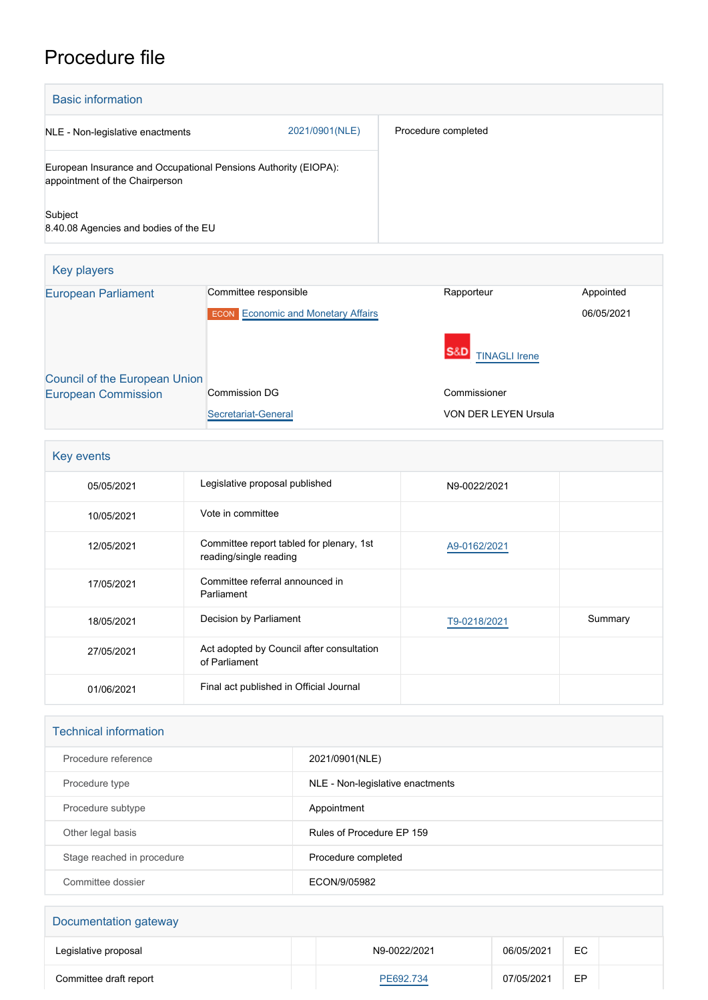## Procedure file

| <b>Basic information</b>                                                                          |                |                     |
|---------------------------------------------------------------------------------------------------|----------------|---------------------|
| NLE - Non-legislative enactments                                                                  | 2021/0901(NLE) | Procedure completed |
| European Insurance and Occupational Pensions Authority (EIOPA):<br>appointment of the Chairperson |                |                     |
| Subject<br>8.40.08 Agencies and bodies of the EU                                                  |                |                     |

| Key players                   |                                           |                             |            |
|-------------------------------|-------------------------------------------|-----------------------------|------------|
| <b>European Parliament</b>    | Committee responsible                     | Rapporteur                  | Appointed  |
|                               | <b>ECON</b> Economic and Monetary Affairs |                             | 06/05/2021 |
|                               |                                           | <b>TINAGLI Irene</b>        |            |
| Council of the European Union |                                           |                             |            |
| <b>European Commission</b>    | Commission DG                             | Commissioner                |            |
|                               | Secretariat-General                       | <b>VON DER LEYEN Ursula</b> |            |

| Key events |                                                                    |              |         |
|------------|--------------------------------------------------------------------|--------------|---------|
| 05/05/2021 | Legislative proposal published                                     | N9-0022/2021 |         |
| 10/05/2021 | Vote in committee                                                  |              |         |
| 12/05/2021 | Committee report tabled for plenary, 1st<br>reading/single reading | A9-0162/2021 |         |
| 17/05/2021 | Committee referral announced in<br>Parliament                      |              |         |
| 18/05/2021 | Decision by Parliament                                             | T9-0218/2021 | Summary |
| 27/05/2021 | Act adopted by Council after consultation<br>of Parliament         |              |         |
| 01/06/2021 | Final act published in Official Journal                            |              |         |

| <b>Technical information</b> |                                  |  |  |
|------------------------------|----------------------------------|--|--|
| Procedure reference          | 2021/0901(NLE)                   |  |  |
| Procedure type               | NLE - Non-legislative enactments |  |  |
| Procedure subtype            | Appointment                      |  |  |
| Other legal basis            | Rules of Procedure EP 159        |  |  |
| Stage reached in procedure   | Procedure completed              |  |  |
| Committee dossier            | ECON/9/05982                     |  |  |
|                              |                                  |  |  |

| Documentation gateway  |              |            |    |  |
|------------------------|--------------|------------|----|--|
| Legislative proposal   | N9-0022/2021 | 06/05/2021 | EC |  |
| Committee draft report | PE692.734    | 07/05/2021 | EP |  |